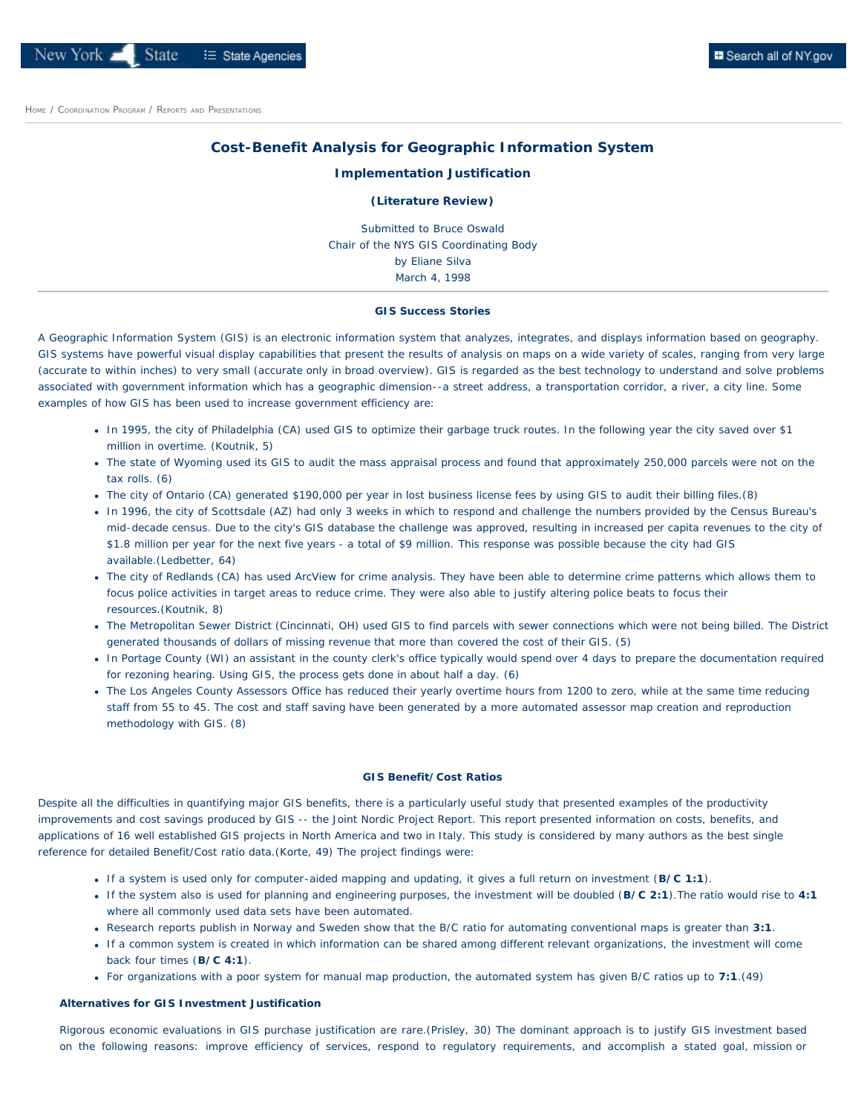# **B** Search all of NY.gov

# **Cost-Benefit Analysis for Geographic Information System**

### **Implementation Justification**

## **(Literature Review)**

Submitted to Bruce Oswald Chair of the NYS GIS Coordinating Body by Eliane Silva March 4, 1998

### **GIS Success Stories**

<span id="page-0-0"></span>A Geographic Information System (GIS) is an electronic information system that analyzes, integrates, and displays information based on geography. GIS systems have powerful visual display capabilities that present the results of analysis on maps on a wide variety of scales, ranging from very large (accurate to within inches) to very small (accurate only in broad overview). GIS is regarded as the best technology to understand and solve problems associated with government information which has a geographic dimension--a street address, a transportation corridor, a river, a city line. Some examples of how GIS has been used to increase government efficiency are:

- In 1995, the city of Philadelphia (CA) used GIS to optimize their garbage truck routes. In the following year the city saved over \$1 million in overtime. (Koutnik, 5)
- The state of Wyoming used its GIS to audit the mass appraisal process and found that approximately 250,000 parcels were not on the tax rolls. (6)
- The city of Ontario (CA) generated \$190,000 per year in lost business license fees by using GIS to audit their billing files.(8)
- In 1996, the city of Scottsdale (AZ) had only 3 weeks in which to respond and challenge the numbers provided by the Census Bureau's mid-decade census. Due to the city's GIS database the challenge was approved, resulting in increased per capita revenues to the city of \$1.8 million per year for the next five years - a total of \$9 million. This response was possible because the city had GIS available.(Ledbetter, 64)
- The city of Redlands (CA) has used ArcView for crime analysis. They have been able to determine crime patterns which allows them to focus police activities in target areas to reduce crime. They were also able to justify altering police beats to focus their resources.(Koutnik, 8)
- The Metropolitan Sewer District (Cincinnati, OH) used GIS to find parcels with sewer connections which were not being billed. The District generated thousands of dollars of missing revenue that more than covered the cost of their GIS. (5)
- . In Portage County (WI) an assistant in the county clerk's office typically would spend over 4 days to prepare the documentation required for rezoning hearing. Using GIS, the process gets done in about half a day. (6)
- The Los Angeles County Assessors Office has reduced their yearly overtime hours from 1200 to zero, while at the same time reducing staff from 55 to 45. The cost and staff saving have been generated by a more automated assessor map creation and reproduction methodology with GIS. (8)

## **GIS Benefit/Cost Ratios**

Despite all the difficulties in quantifying major GIS benefits, there is a particularly useful study that presented examples of the productivity improvements and cost savings produced by GIS -- the Joint Nordic Project Report. This report presented information on costs, benefits, and applications of 16 well established GIS projects in North America and two in Italy. This study is considered by many authors as the best single reference for detailed Benefit/Cost ratio data.(Korte, 49) The project findings were:

- If a system is used only for computer-aided mapping and updating, it gives a full return on investment (**B/C 1:1**).
- If the system also is used for planning and engineering purposes, the investment will be doubled (**B/C 2:1**).The ratio would rise to **4:1** where all commonly used data sets have been automated.
- Research reports publish in Norway and Sweden show that the B/C ratio for automating conventional maps is greater than **3:1**.
- If a common system is created in which information can be shared among different relevant organizations, the investment will come back four times (**B/C 4:1**).
- For organizations with a poor system for manual map production, the automated system has given B/C ratios up to **7:1**.(49)

# **Alternatives for GIS Investment Justification**

Rigorous economic evaluations in GIS purchase justification are rare.(Prisley, 30) The dominant approach is to justify GIS investment based on the following reasons: improve efficiency of services, respond to regulatory requirements, and accomplish a stated goal, mission or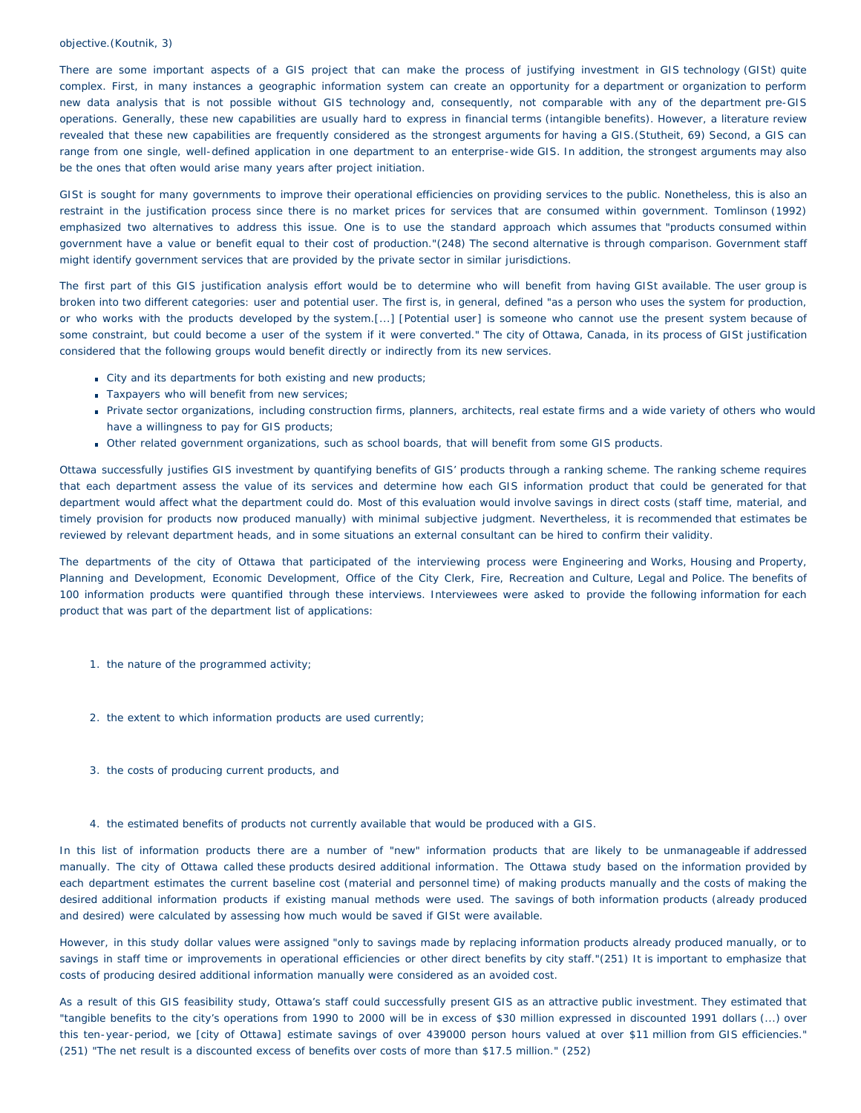### objective.(Koutnik, 3)

There are some important aspects of a GIS project that can make the process of justifying investment in GIS technology (GISt) quite complex. First, in many instances a geographic information system can create an opportunity for a department or organization to perform new data analysis that is not possible without GIS technology and, consequently, not comparable with any of the department pre-GIS operations. Generally, these new capabilities are usually hard to express in financial terms (intangible benefits). However, a literature review revealed that these new capabilities are frequently considered as the strongest arguments for having a GIS.(Stutheit, 69) Second, a GIS can range from one single, well-defined application in one department to an enterprise-wide GIS. In addition, the strongest arguments may also be the ones that often would arise many years after project initiation.

GISt is sought for many governments to improve their operational efficiencies on providing services to the public. Nonetheless, this is also an restraint in the justification process since there is no market prices for services that are consumed within government. Tomlinson (1992) emphasized two alternatives to address this issue. One is to use the standard approach which assumes that "products consumed within government have a value or benefit equal to their cost of production."(248) The second alternative is through comparison. Government staff might identify government services that are provided by the private sector in similar jurisdictions.

The first part of this GIS justification analysis effort would be to determine who will benefit from having GISt available. The user group is broken into two different categories: user and *potential user.* The first is, in general, defined "as a person who uses the system for production, or who works with the products developed by the system.[...] [*Potential user*] is someone who cannot use the present system because of some constraint, but could become a user of the system if it were converted." The city of Ottawa, Canada, in its process of GISt justification considered that the following groups would benefit directly or indirectly from its new services.

- City and its departments for both existing and new products;
- Taxpayers who will benefit from new services;
- Private sector organizations, including construction firms, planners, architects, real estate firms and a wide variety of others who would have a willingness to pay for GIS products;
- Other related government organizations, such as school boards, that will benefit from some GIS products.

Ottawa successfully justifies GIS investment by quantifying benefits of GIS' products through a ranking scheme. The ranking scheme requires that each department assess the value of its services and determine how each GIS information product that could be generated for that department would affect what the department could do. Most of this evaluation would involve savings in direct costs (staff time, material, and timely provision for products now produced manually) with minimal subjective judgment. Nevertheless, it is recommended that estimates be reviewed by relevant department heads, and in some situations an external consultant can be hired to confirm their validity.

The departments of the city of Ottawa that participated of the interviewing process were Engineering and Works, Housing and Property, Planning and Development, Economic Development, Office of the City Clerk, Fire, Recreation and Culture, Legal and Police. The benefits of 100 information products were quantified through these interviews. Interviewees were asked to provide the following information for each product that was part of the department list of applications:

- 1. the nature of the programmed activity;
- 2. the extent to which information products are used currently;
- 3. the costs of producing current products, and
- 4. the estimated benefits of products not currently available that would be produced with a GIS.

In this list of information products there are a number of "new" information products that are likely to be unmanageable if addressed manually. The city of Ottawa called these products *desired additional information*. The Ottawa study based on the information provided by each department estimates the current baseline cost (material and personnel time) of making products manually and the costs of making the *desired additional* information products if existing manual methods were used. The savings of both information products (already produced and desired) were calculated by assessing how much would be saved if GISt were available.

However, in this study dollar values were assigned "only to savings made by replacing information products already produced manually, or to savings in staff time or improvements in operational efficiencies or other direct benefits by city staff."(251) It is important to emphasize that costs of producing desired additional information manually were considered as an *avoided cost.*

As a result of this GIS feasibility study, Ottawa's staff could successfully present GIS as an attractive public investment. They estimated that "tangible benefits to the city's operations from 1990 to 2000 will be in excess of \$30 million expressed in discounted 1991 dollars (...) over this ten-year-period, we [city of Ottawa] estimate savings of over 439000 person hours valued at over \$11 million from GIS efficiencies." (251) "The net result is a discounted excess of benefits over costs of more than \$17.5 million." (252)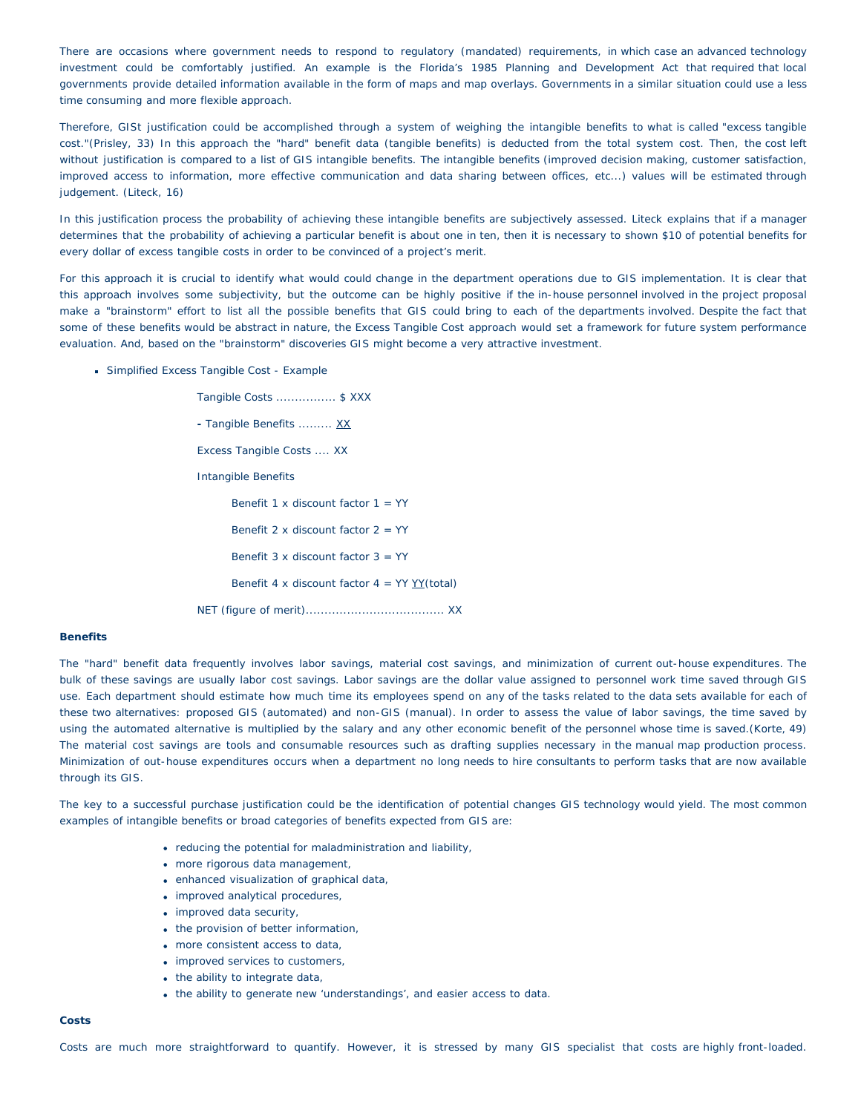There are occasions where government needs to respond to regulatory (mandated) requirements, in which case an advanced technology investment could be comfortably justified. An example is the Florida's 1985 Planning and Development Act that required that local governments provide detailed information available in the form of maps and map overlays. Governments in a similar situation could use a less time consuming and more flexible approach.

Therefore, GISt justification could be accomplished through a system of weighing the intangible benefits to what is called "excess tangible cost."(Prisley, 33) In this approach the "hard" benefit data (tangible benefits) is deducted from the total system cost. Then, the cost left without justification is compared to a list of GIS intangible benefits. The intangible benefits (improved decision making, customer satisfaction, improved access to information, more effective communication and data sharing between offices, etc...) values will be estimated through judgement. (Liteck, 16)

In this justification process the probability of achieving these intangible benefits are subjectively assessed. Liteck explains that if a manager determines that the probability of achieving a particular benefit is about one in ten, then it is necessary to shown \$10 of potential benefits for every dollar of excess tangible costs in order to be convinced of a project's merit.

For this approach it is crucial to identify what would could change in the department operations due to GIS implementation. It is clear that this approach involves some subjectivity, but the outcome can be highly positive if the in-house personnel involved in the project proposal make a "brainstorm" effort to list all the possible benefits that GIS could bring to each of the departments involved. Despite the fact that some of these benefits would be abstract in nature, the *Excess Tangible Cost* approach would set a framework for future system performance evaluation. And, based on the "brainstorm" discoveries GIS might become a very attractive investment.

**Simplified Excess Tangible Cost - Example** 

Tangible Costs ................ \$ XXX **-** Tangible Benefits ......... XX Excess Tangible Costs .... XX Intangible Benefits Benefit 1 x discount factor 1 = YY Benefit 2  $\times$  discount factor 2 = YY Benefit  $3 \times$  discount factor  $3 = YY$ Benefit 4 x discount factor  $4 = YY YY(total)$ NET (figure of merit)..................................... XX

#### **Benefits**

The "hard" benefit data frequently involves labor savings, material cost savings, and minimization of current out-house expenditures. The bulk of these savings are usually labor cost savings. Labor savings are the dollar value assigned to personnel work time saved through GIS use. Each department should estimate how much time its employees spend on any of the tasks related to the data sets available for each of these two alternatives: proposed GIS (automated) and non-GIS (manual). In order to assess the value of labor savings, the time saved by using the automated alternative is multiplied by the salary and any other economic benefit of the personnel whose time is saved.(Korte, 49) The material cost savings are tools and consumable resources such as drafting supplies necessary in the manual map production process. Minimization of out-house expenditures occurs when a department no long needs to hire consultants to perform tasks that are now available through its GIS.

The key to a successful purchase justification could be the identification of potential changes GIS technology would yield. The most common examples of intangible benefits or broad categories of benefits expected from GIS are:

- reducing the potential for maladministration and liability,
- more rigorous data management,
- enhanced visualization of graphical data,
- improved analytical procedures,
- improved data security,
- the provision of better information,
- more consistent access to data,
- improved services to customers,
- the ability to integrate data,
- the ability to generate new 'understandings', and easier access to data.

#### **Costs**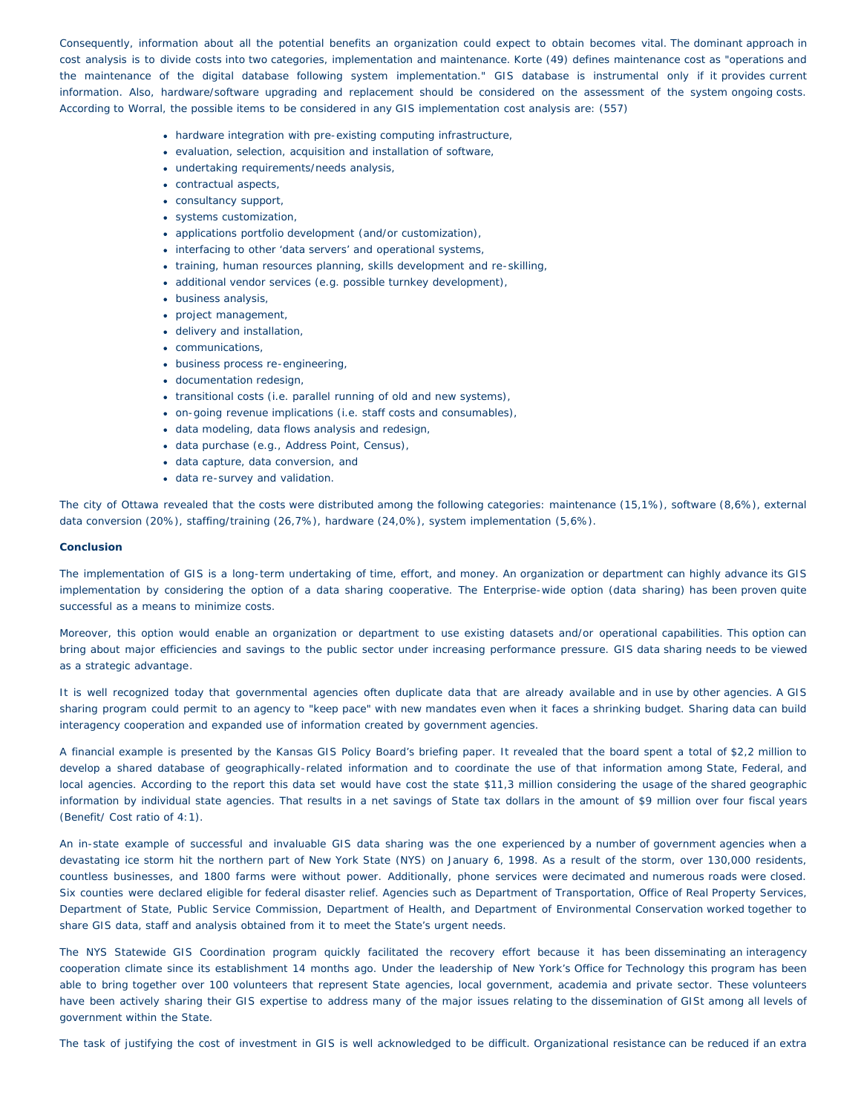Consequently, information about all the potential benefits an organization could expect to obtain becomes vital. The dominant approach in cost analysis is to divide costs into two categories, implementation and maintenance. Korte (49) defines maintenance cost as "operations and the maintenance of the digital database following system implementation." GIS database is instrumental only if it provides current information. Also, hardware/software upgrading and replacement should be considered on the assessment of the system ongoing costs. According to Worral, the possible items to be considered in any GIS implementation cost analysis are: (557)

- hardware integration with pre-existing computing infrastructure,
- evaluation, selection, acquisition and installation of software,
- undertaking requirements/needs analysis,
- contractual aspects,
- consultancy support,
- systems customization,
- applications portfolio development (and/or customization),
- interfacing to other 'data servers' and operational systems,
- training, human resources planning, skills development and re-skilling,
- additional vendor services (e.g. possible turnkey development),
- business analysis,
- project management,
- delivery and installation,
- communications,
- business process re-engineering,
- documentation redesign,
- transitional costs (i.e. parallel running of old and new systems),
- on-going revenue implications (i.e. staff costs and consumables),
- data modeling, data flows analysis and redesign,
- data purchase (e.g., Address Point, Census),
- data capture, data conversion, and
- data re-survey and validation.

The city of Ottawa revealed that the costs were distributed among the following categories: maintenance (15,1%), software (8,6%), external data conversion (20%), staffing/training (26,7%), hardware (24,0%), system implementation (5,6%).

# **Conclusion**

The implementation of GIS is a long-term undertaking of time, effort, and money. An organization or department can highly advance its GIS implementation by considering the option of a data sharing cooperative. The Enterprise-wide option (data sharing) has been proven quite successful as a means to minimize costs.

Moreover, this option would enable an organization or department to use existing datasets and/or operational capabilities. This option can bring about major efficiencies and savings to the public sector under increasing performance pressure. GIS data sharing needs to be viewed as a *strategic advantage*.

It is well recognized today that governmental agencies often duplicate data that are already available and in use by other agencies. A GIS sharing program could permit to an agency to "keep pace" with new mandates even when it faces a shrinking budget. Sharing data can build interagency cooperation and expanded use of information created by government agencies.

A financial example is presented by the Kansas GIS Policy Board's briefing paper. It revealed that the board spent a total of \$2,2 million to develop a shared database of geographically-related information and to coordinate the use of that information among State, Federal, and local agencies. According to the report this data set would have cost the state \$11,3 million considering the usage of the shared geographic information by individual state agencies. That results in a net savings of State tax dollars in the amount of \$9 million over four fiscal years (Benefit/ Cost ratio of 4:1).

An in-state example of successful and invaluable GIS data sharing was the one experienced by a number of government agencies when a devastating ice storm hit the northern part of New York State (NYS) on January 6, 1998. As a result of the storm, over 130,000 residents, countless businesses, and 1800 farms were without power. Additionally, phone services were decimated and numerous roads were closed. Six counties were declared eligible for federal disaster relief. Agencies such as Department of Transportation, Office of Real Property Services, Department of State, Public Service Commission, Department of Health, and Department of Environmental Conservation worked together to share GIS data, staff and analysis obtained from it to meet the State's urgent needs.

The NYS Statewide GIS Coordination program quickly facilitated the recovery effort because it has been disseminating an interagency cooperation climate since its establishment 14 months ago. Under the leadership of New York's Office for Technology this program has been able to bring together over 100 volunteers that represent State agencies, local government, academia and private sector. These volunteers have been actively sharing their GIS expertise to address many of the major issues relating to the dissemination of GISt among all levels of government within the State.

The task of justifying the cost of investment in GIS is well acknowledged to be difficult. Organizational resistance can be reduced if an extra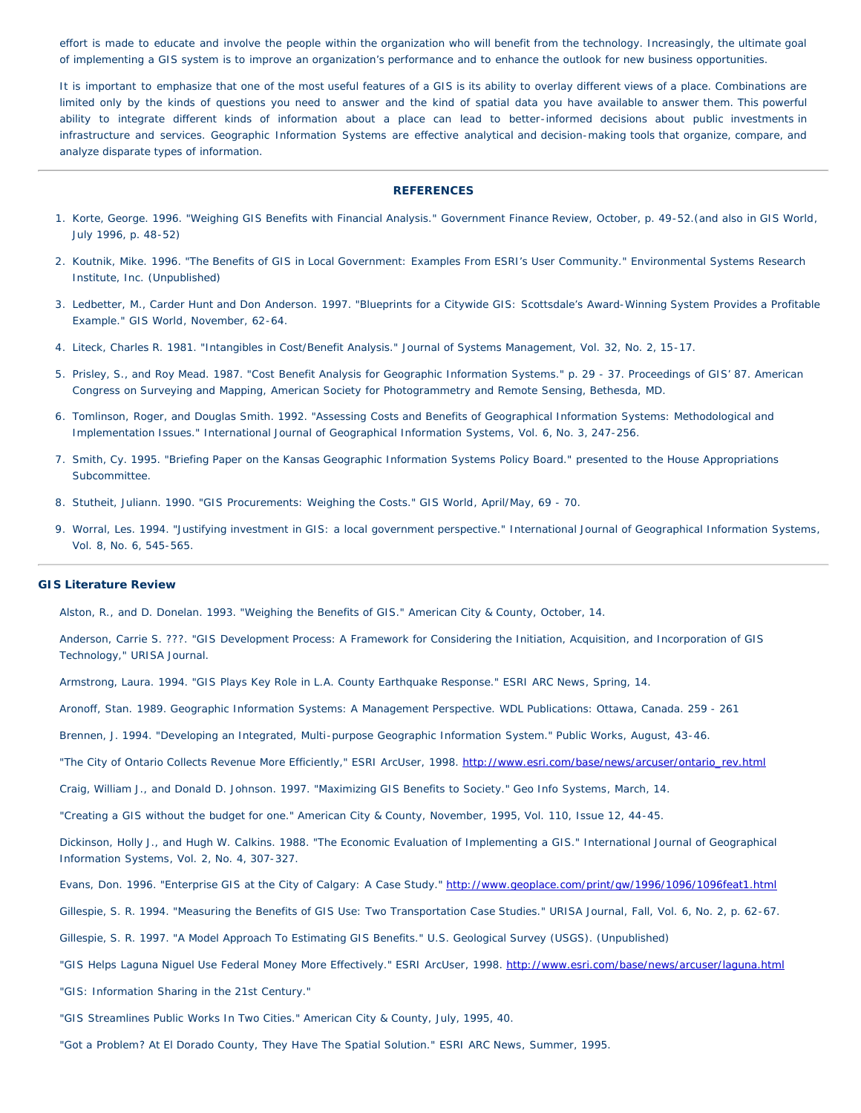effort is made to educate and involve the people within the organization who will benefit from the technology. Increasingly, the ultimate goal of implementing a GIS system is to improve an organization's performance and to enhance the outlook for new business opportunities.

It is important to emphasize that one of the most useful features of a GIS is its ability to overlay different views of a place. Combinations are limited only by the kinds of questions you need to answer and the kind of spatial data you have available to answer them. This powerful ability to integrate different kinds of information about a place can lead to better-informed decisions about public investments in infrastructure and services. Geographic Information Systems are effective analytical and decision-making tools that organize, compare, and analyze disparate types of information.

# **REFERENCES**

- 1. Korte, George. 1996. "Weighing GIS Benefits with Financial Analysis." *Government Finance Review*, October, p. 49-52.(and also in *GIS World*, July 1996, p. 48-52)
- 2. Koutnik, Mike. 1996. "The Benefits of GIS in Local Government: Examples From ESRI's User Community." Environmental Systems Research Institute, Inc. (Unpublished)
- 3. Ledbetter, M., Carder Hunt and Don Anderson. 1997. "Blueprints for a Citywide GIS: Scottsdale's Award-Winning System Provides a Profitable Example." *GIS World*, November, 62-64.
- 4. Liteck, Charles R. 1981. "Intangibles in Cost/Benefit Analysis." *Journal of Systems Management*, Vol. 32, No. 2, 15-17.
- 5. Prisley, S., and Roy Mead. 1987. "Cost Benefit Analysis for Geographic Information Systems." p. 29 37. Proceedings of GIS' 87. American Congress on Surveying and Mapping, American Society for Photogrammetry and Remote Sensing, Bethesda, MD.
- 6. Tomlinson, Roger, and Douglas Smith. 1992. "Assessing Costs and Benefits of Geographical Information Systems: Methodological and Implementation Issues." *International Journal of Geographical Information Systems*, Vol. 6, No. 3, 247-256.
- 7. Smith, Cy. 1995. "Briefing Paper on the Kansas Geographic Information Systems Policy Board." presented to the House Appropriations Subcommittee.
- 8. Stutheit, Juliann. 1990. "GIS Procurements: Weighing the Costs." *GIS World*, April/May, 69 70.
- 9. Worral, Les. 1994. "Justifying investment in GIS: a local government perspective." *International Journal of Geographical Information Systems*, Vol. 8, No. 6, 545-565.

#### **GIS Literature Review**

Alston, R., and D. Donelan. 1993. "Weighing the Benefits of GIS." *American City & County*, October, 14.

Anderson, Carrie S. ???. "GIS Development Process: A Framework for Considering the Initiation, Acquisition, and Incorporation of GIS Technology," *URISA Journal.*

Armstrong, Laura. 1994. "GIS Plays Key Role in L.A. County Earthquake Response." *ESRI ARC News*, Spring, 14.

- Aronoff, Stan. 1989. *Geographic Information Systems: A Management Perspective.* WDL Publications: Ottawa, Canada. 259 261
- Brennen, J. 1994. "Developing an Integrated, Multi-purpose Geographic Information System." *Public Works*, August, 43-46.
- "The City of Ontario Collects Revenue More Efficiently," *ESRI ArcUser*, 1998. [http://www.esri.com/base/news/arcuser/ontario\\_rev.html](http://www.esri.com/gisforeveryone/success/stories/ontario.html)

Craig, William J., and Donald D. Johnson. 1997. "Maximizing GIS Benefits to Society." *Geo Info Systems*, March, 14.

"Creating a GIS without the budget for one." *American City & County*, November, 1995, Vol. 110, Issue 12, 44-45.

Dickinson, Holly J., and Hugh W. Calkins. 1988. "The Economic Evaluation of Implementing a GIS." *International Journal of Geographical Information Systems*, Vol. 2, No. 4, 307-327.

- Evans, Don. 1996. "Enterprise GIS at the City of Calgary: A Case Study." [http://www.geoplace.com/print/gw/1996/1096/1096feat1.html](http://www.geoplace.com/gw/1996/1096/1096feat1.asp)
- Gillespie, S. R. 1994. "Measuring the Benefits of GIS Use: Two Transportation Case Studies." *URISA Journal*, Fall, Vol. 6, No. 2, p. 62-67.
- Gillespie, S. R. 1997. "A Model Approach To Estimating GIS Benefits." U.S. Geological Survey (USGS). (Unpublished)
- "GIS Helps Laguna Niguel Use Federal Money More Effectively." *ESRI ArcUser*, 1998. [http://www.esri.com/base/news/arcuser/laguna.html](http://www.esri.com/news/arcuser/laguna.html)
- "GIS: Information Sharing in the 21st Century."
- "GIS Streamlines Public Works In Two Cities." *American City & County*, July, 1995, 40.
- "Got a Problem? At El Dorado County, They Have The Spatial Solution." *ESRI ARC News*, Summer, 1995.